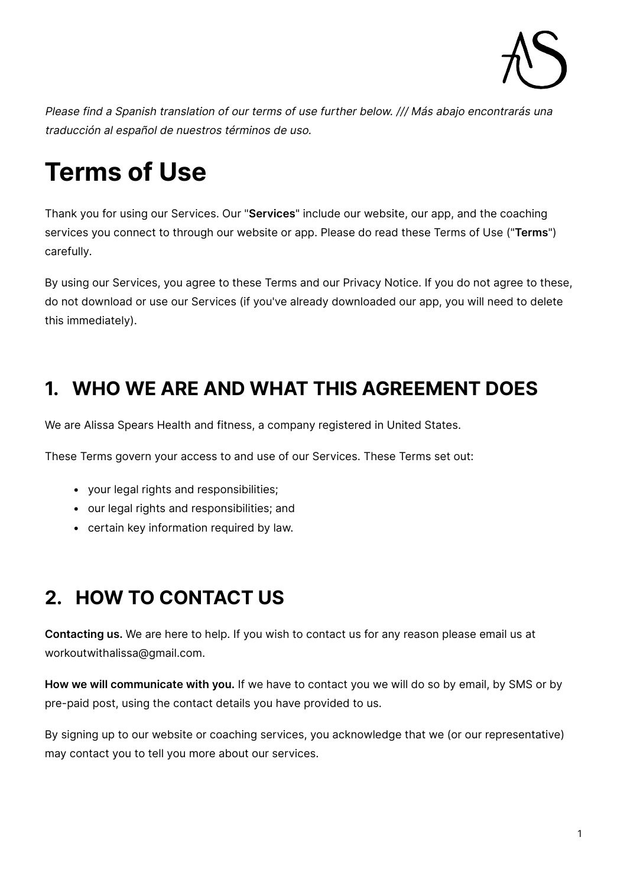

Please find a Spanish translation of our terms of use further below. /// Más abajo encontrarás una traducción al español de nuestros términos de uso.

# **Terms of Use**

Thank you for using our Services. Our "**Services**" include our website, our app, and the coaching services you connect to through our website or app. Please do read these Terms of Use ("**Terms**") carefully.

By using our Services, you agree to these Terms and our Privacy Notice. If you do not agree to these, do not download or use our Services (if you've already downloaded our app, you will need to delete this immediately).

### **1. WHO WE ARE AND WHAT THIS AGREEMENT DOES**

We are Alissa Spears Health and fitness, a company registered in United States.

These Terms govern your access to and use of our Services. These Terms set out:

- your legal rights and responsibilities;
- our legal rights and responsibilities; and
- certain key information required by law.

### **2. HOW TO CONTACT US**

**Contacting us.** We are here to help. If you wish to contact us for any reason please email us at workoutwithalissa@gmail.com.

**How we will communicate with you.** If we have to contact you we will do so by email, by SMS or by pre-paid post, using the contact details you have provided to us.

By signing up to our website or coaching services, you acknowledge that we (or our representative) may contact you to tell you more about our services.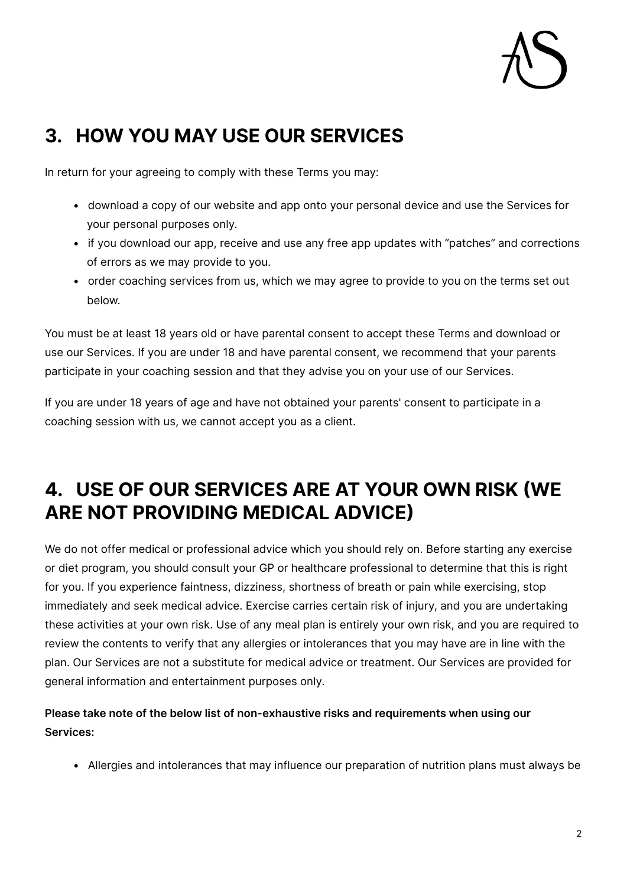

### **3. HOW YOU MAY USE OUR SERVICES**

In return for your agreeing to comply with these Terms you may:

- download a copy of our website and app onto your personal device and use the Services for your personal purposes only.
- if you download our app, receive and use any free app updates with "patches" and corrections of errors as we may provide to you.
- order coaching services from us, which we may agree to provide to you on the terms set out below.

You must be at least 18 years old or have parental consent to accept these Terms and download or use our Services. If you are under 18 and have parental consent, we recommend that your parents participate in your coaching session and that they advise you on your use of our Services.

If you are under 18 years of age and have not obtained your parents' consent to participate in a coaching session with us, we cannot accept you as a client.

### **4. USE OF OUR SERVICES ARE AT YOUR OWN RISK (WE ARE NOT PROVIDING MEDICAL ADVICE)**

We do not offer medical or professional advice which you should rely on. Before starting any exercise or diet program, you should consult your GP or healthcare professional to determine that this is right for you. If you experience faintness, dizziness, shortness of breath or pain while exercising, stop immediately and seek medical advice. Exercise carries certain risk of injury, and you are undertaking these activities at your own risk. Use of any meal plan is entirely your own risk, and you are required to review the contents to verify that any allergies or intolerances that you may have are in line with the plan. Our Services are not a substitute for medical advice or treatment. Our Services are provided for general information and entertainment purposes only.

**Please take note of the below list of non-exhaustive risks and requirements when using our Services:**

• Allergies and intolerances that may influence our preparation of nutrition plans must always be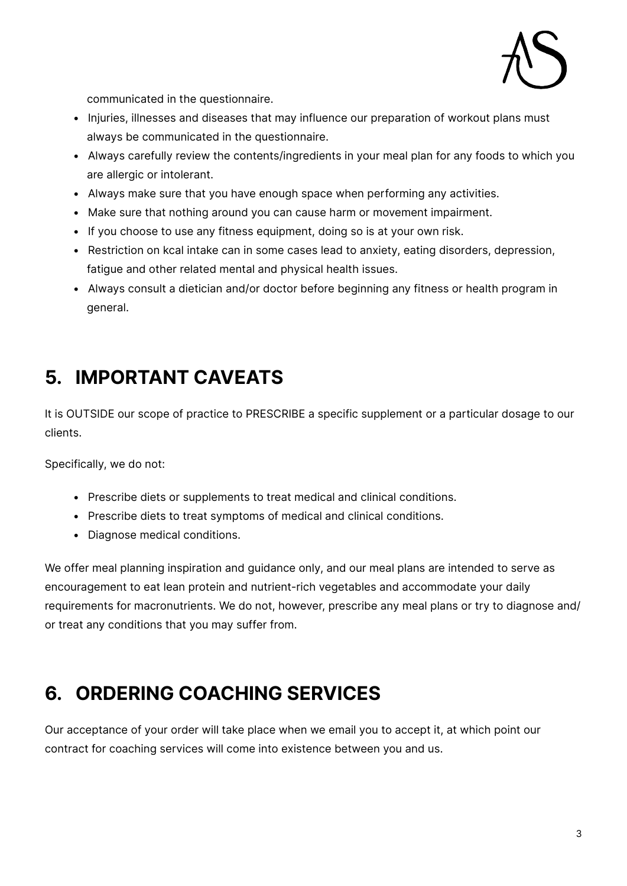

communicated in the questionnaire.

- Injuries, illnesses and diseases that may influence our preparation of workout plans must always be communicated in the questionnaire.
- Always carefully review the contents/ingredients in your meal plan for any foods to which you are allergic or intolerant.
- Always make sure that you have enough space when performing any activities.
- Make sure that nothing around you can cause harm or movement impairment.
- If you choose to use any fitness equipment, doing so is at your own risk.
- Restriction on kcal intake can in some cases lead to anxiety, eating disorders, depression, fatigue and other related mental and physical health issues.
- Always consult a dietician and/or doctor before beginning any fitness or health program in general.

### **5. IMPORTANT CAVEATS**

It is OUTSIDE our scope of practice to PRESCRIBE a specific supplement or a particular dosage to our clients.

Specifically, we do not:

- Prescribe diets or supplements to treat medical and clinical conditions.
- Prescribe diets to treat symptoms of medical and clinical conditions.
- Diagnose medical conditions.

We offer meal planning inspiration and guidance only, and our meal plans are intended to serve as encouragement to eat lean protein and nutrient-rich vegetables and accommodate your daily requirements for macronutrients. We do not, however, prescribe any meal plans or try to diagnose and/ or treat any conditions that you may suffer from.

### **6. ORDERING COACHING SERVICES**

Our acceptance of your order will take place when we email you to accept it, at which point our contract for coaching services will come into existence between you and us.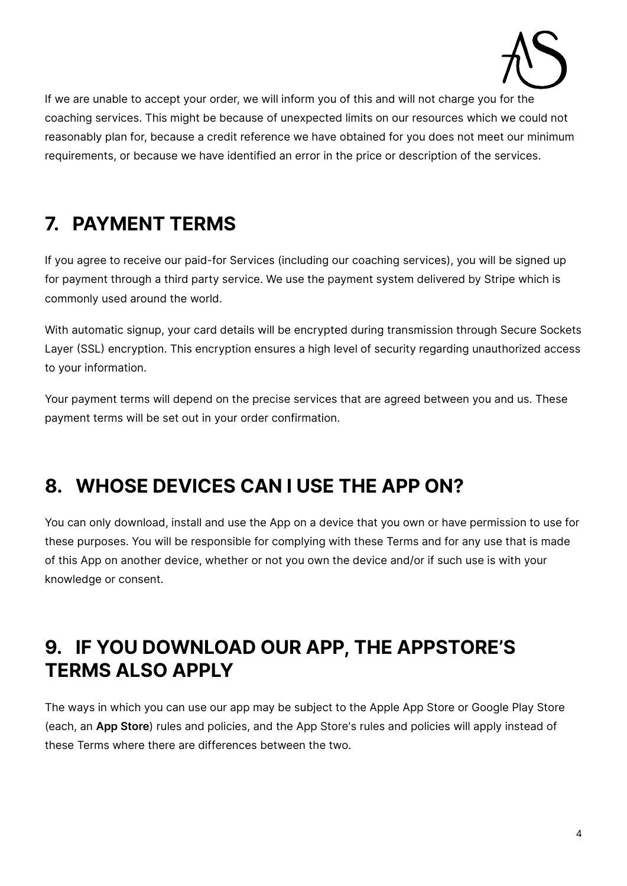

If we are unable to accept your order, we will inform you of this and will not charge you for the coaching services. This might be because of unexpected limits on our resources which we could not reasonably plan for, because a credit reference we have obtained for you does not meet our minimum requirements, or because we have identified an error in the price or description of the services.

### **7. PAYMENT TERMS**

If you agree to receive our paid-for Services (including our coaching services), you will be signed up for payment through a third party service. We use the payment system delivered by Stripe which is commonly used around the world.

With automatic signup, your card details will be encrypted during transmission through Secure Sockets Layer (SSL) encryption. This encryption ensures a high level of security regarding unauthorized access to your information.

Your payment terms will depend on the precise services that are agreed between you and us. These payment terms will be set out in your order confirmation.

### **8. WHOSE DEVICES CAN I USE THE APP ON?**

You can only download, install and use the App on a device that you own or have permission to use for these purposes. You will be responsible for complying with these Terms and for any use that is made of this App on another device, whether or not you own the device and/or if such use is with your knowledge or consent.

### **9. IF YOU DOWNLOAD OUR APP, THE APPSTORE'S TERMS ALSO APPLY**

The ways in which you can use our app may be subject to the Apple App Store or Google Play Store (each, an **App Store**) rules and policies, and the App Store's rules and policies will apply instead of these Terms where there are differences between the two.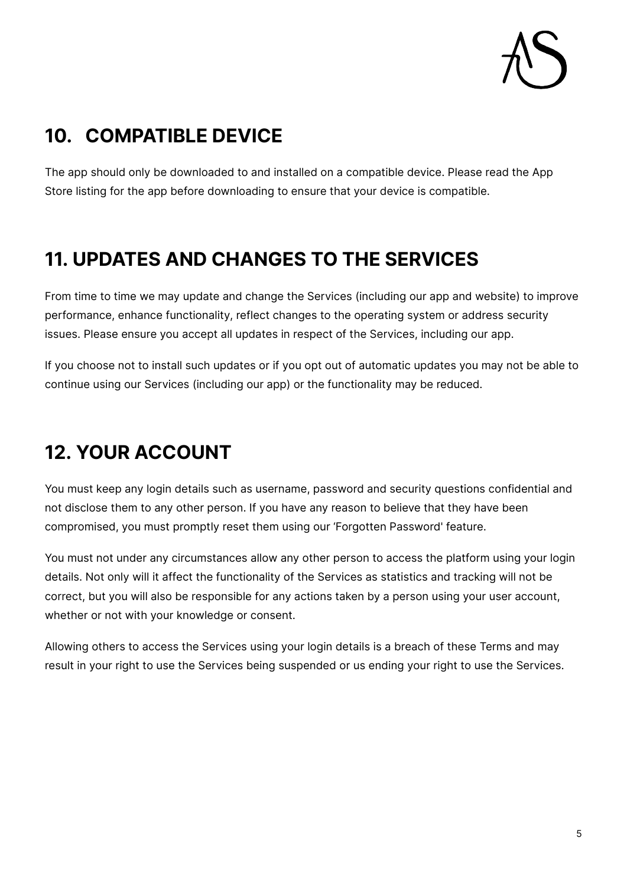## **10. COMPATIBLE DEVICE**

The app should only be downloaded to and installed on a compatible device. Please read the App Store listing for the app before downloading to ensure that your device is compatible.

### **11. UPDATES AND CHANGES TO THE SERVICES**

From time to time we may update and change the Services (including our app and website) to improve performance, enhance functionality, reflect changes to the operating system or address security issues. Please ensure you accept all updates in respect of the Services, including our app.

If you choose not to install such updates or if you opt out of automatic updates you may not be able to continue using our Services (including our app) or the functionality may be reduced.

### **12. YOUR ACCOUNT**

You must keep any login details such as username, password and security questions confidential and not disclose them to any other person. If you have any reason to believe that they have been compromised, you must promptly reset them using our 'Forgotten Password' feature.

You must not under any circumstances allow any other person to access the platform using your login details. Not only will it affect the functionality of the Services as statistics and tracking will not be correct, but you will also be responsible for any actions taken by a person using your user account, whether or not with your knowledge or consent.

Allowing others to access the Services using your login details is a breach of these Terms and may result in your right to use the Services being suspended or us ending your right to use the Services.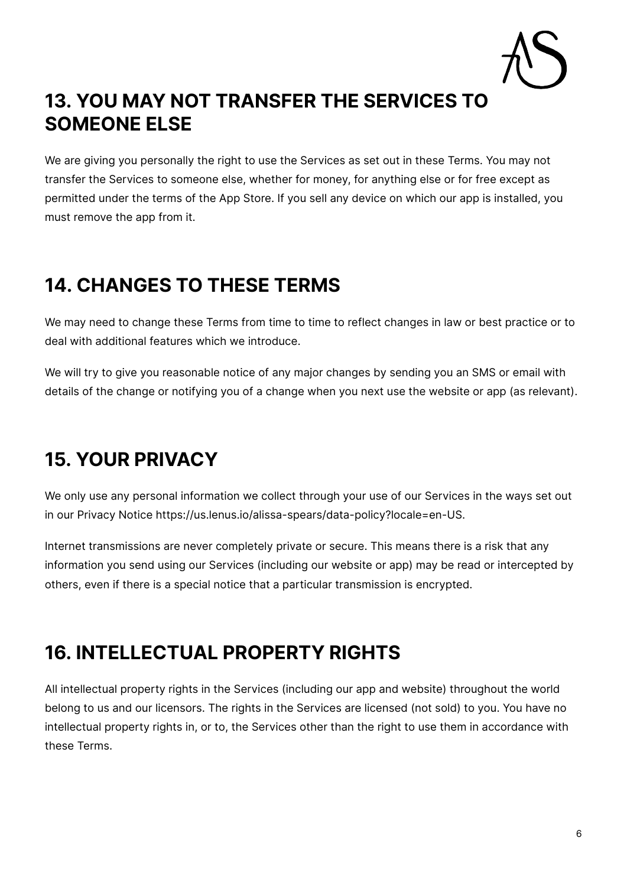

### **13. YOU MAY NOT TRANSFER THE SERVICES TO SOMEONE ELSE**

We are giving you personally the right to use the Services as set out in these Terms. You may not transfer the Services to someone else, whether for money, for anything else or for free except as permitted under the terms of the App Store. If you sell any device on which our app is installed, you must remove the app from it.

### **14. CHANGES TO THESE TERMS**

We may need to change these Terms from time to time to reflect changes in law or best practice or to deal with additional features which we introduce.

We will try to give you reasonable notice of any major changes by sending you an SMS or email with details of the change or notifying you of a change when you next use the website or app (as relevant).

### **15. YOUR PRIVACY**

We only use any personal information we collect through your use of our Services in the ways set out in our Privacy Notice https://us.lenus.io/alissa-spears/data-policy?locale=en-US.

Internet transmissions are never completely private or secure. This means there is a risk that any information you send using our Services (including our website or app) may be read or intercepted by others, even if there is a special notice that a particular transmission is encrypted.

### **16. INTELLECTUAL PROPERTY RIGHTS**

All intellectual property rights in the Services (including our app and website) throughout the world belong to us and our licensors. The rights in the Services are licensed (not sold) to you. You have no intellectual property rights in, or to, the Services other than the right to use them in accordance with these Terms.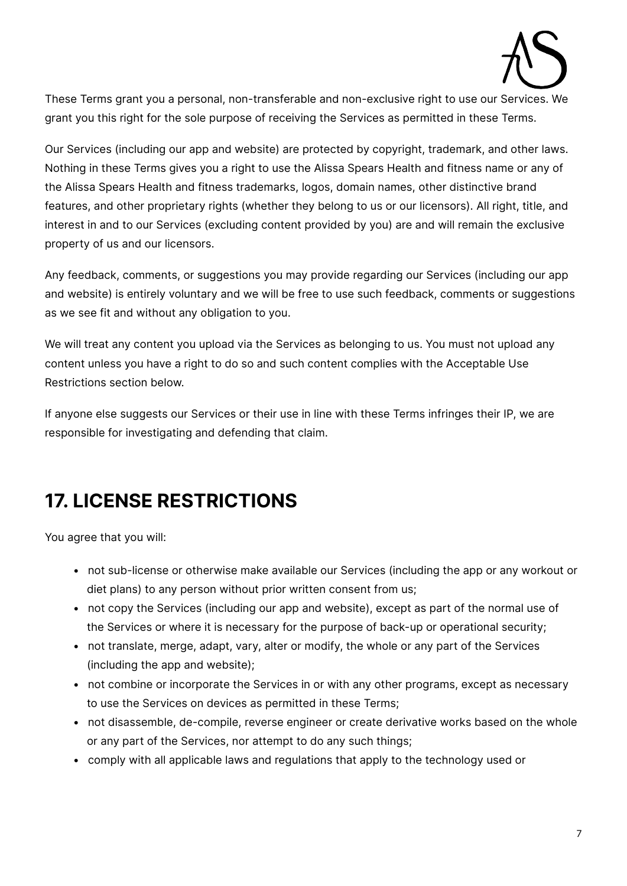

These Terms grant you a personal, non-transferable and non-exclusive right to use our Services. We grant you this right for the sole purpose of receiving the Services as permitted in these Terms.

Our Services (including our app and website) are protected by copyright, trademark, and other laws. Nothing in these Terms gives you a right to use the Alissa Spears Health and fitness name or any of the Alissa Spears Health and fitness trademarks, logos, domain names, other distinctive brand features, and other proprietary rights (whether they belong to us or our licensors). All right, title, and interest in and to our Services (excluding content provided by you) are and will remain the exclusive property of us and our licensors.

Any feedback, comments, or suggestions you may provide regarding our Services (including our app and website) is entirely voluntary and we will be free to use such feedback, comments or suggestions as we see fit and without any obligation to you.

We will treat any content you upload via the Services as belonging to us. You must not upload any content unless you have a right to do so and such content complies with the Acceptable Use Restrictions section below.

If anyone else suggests our Services or their use in line with these Terms infringes their IP, we are responsible for investigating and defending that claim.

### **17. LICENSE RESTRICTIONS**

You agree that you will:

- not sub-license or otherwise make available our Services (including the app or any workout or diet plans) to any person without prior written consent from us;
- not copy the Services (including our app and website), except as part of the normal use of the Services or where it is necessary for the purpose of back-up or operational security;
- not translate, merge, adapt, vary, alter or modify, the whole or any part of the Services (including the app and website);
- not combine or incorporate the Services in or with any other programs, except as necessary to use the Services on devices as permitted in these Terms;
- not disassemble, de-compile, reverse engineer or create derivative works based on the whole or any part of the Services, nor attempt to do any such things;
- comply with all applicable laws and regulations that apply to the technology used or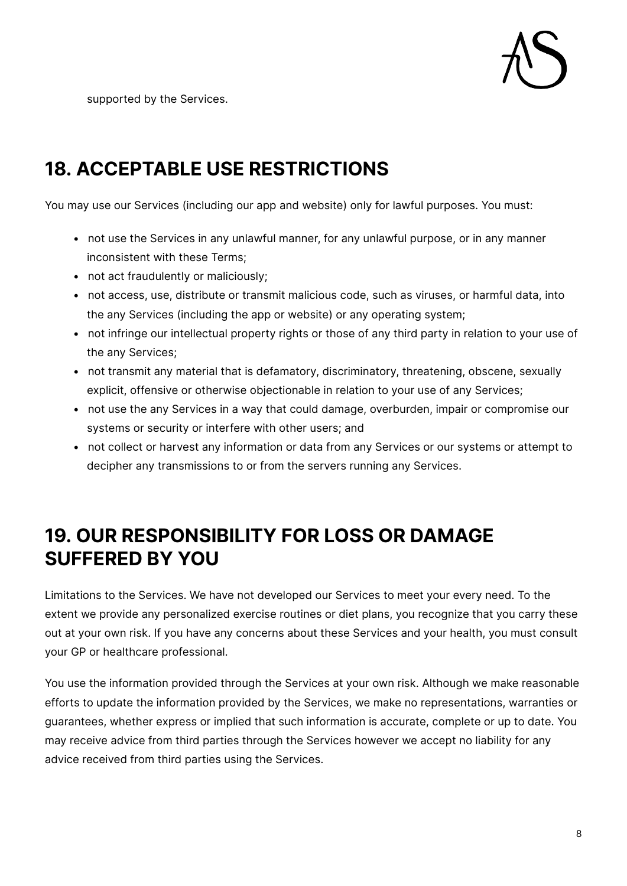

supported by the Services.

### **18. ACCEPTABLE USE RESTRICTIONS**

You may use our Services (including our app and website) only for lawful purposes. You must:

- not use the Services in any unlawful manner, for any unlawful purpose, or in any manner inconsistent with these Terms;
- not act fraudulently or maliciously;
- not access, use, distribute or transmit malicious code, such as viruses, or harmful data, into the any Services (including the app or website) or any operating system;
- not infringe our intellectual property rights or those of any third party in relation to your use of the any Services;
- not transmit any material that is defamatory, discriminatory, threatening, obscene, sexually explicit, offensive or otherwise objectionable in relation to your use of any Services;
- not use the any Services in a way that could damage, overburden, impair or compromise our systems or security or interfere with other users; and
- not collect or harvest any information or data from any Services or our systems or attempt to decipher any transmissions to or from the servers running any Services.

### **19. OUR RESPONSIBILITY FOR LOSS OR DAMAGE SUFFERED BY YOU**

Limitations to the Services. We have not developed our Services to meet your every need. To the extent we provide any personalized exercise routines or diet plans, you recognize that you carry these out at your own risk. If you have any concerns about these Services and your health, you must consult your GP or healthcare professional.

You use the information provided through the Services at your own risk. Although we make reasonable efforts to update the information provided by the Services, we make no representations, warranties or guarantees, whether express or implied that such information is accurate, complete or up to date. You may receive advice from third parties through the Services however we accept no liability for any advice received from third parties using the Services.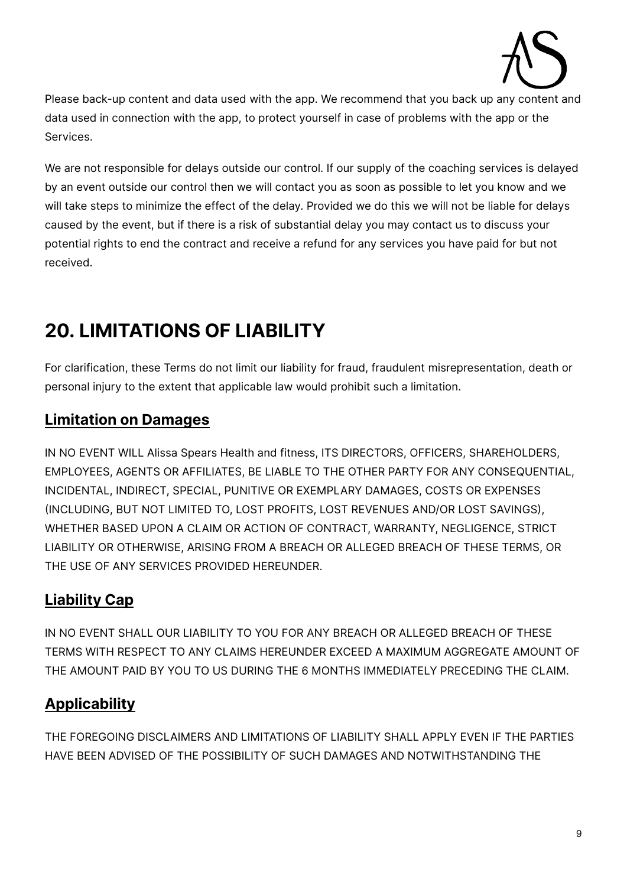

Please back-up content and data used with the app. We recommend that you back up any content and data used in connection with the app, to protect yourself in case of problems with the app or the Services.

We are not responsible for delays outside our control. If our supply of the coaching services is delayed by an event outside our control then we will contact you as soon as possible to let you know and we will take steps to minimize the effect of the delay. Provided we do this we will not be liable for delays caused by the event, but if there is a risk of substantial delay you may contact us to discuss your potential rights to end the contract and receive a refund for any services you have paid for but not received.

## **20. LIMITATIONS OF LIABILITY**

For clarification, these Terms do not limit our liability for fraud, fraudulent misrepresentation, death or personal injury to the extent that applicable law would prohibit such a limitation.

### **Limitation on Damages**

IN NO EVENT WILL Alissa Spears Health and fitness, ITS DIRECTORS, OFFICERS, SHAREHOLDERS, EMPLOYEES, AGENTS OR AFFILIATES, BE LIABLE TO THE OTHER PARTY FOR ANY CONSEQUENTIAL, INCIDENTAL, INDIRECT, SPECIAL, PUNITIVE OR EXEMPLARY DAMAGES, COSTS OR EXPENSES (INCLUDING, BUT NOT LIMITED TO, LOST PROFITS, LOST REVENUES AND/OR LOST SAVINGS), WHETHER BASED UPON A CLAIM OR ACTION OF CONTRACT, WARRANTY, NEGLIGENCE, STRICT LIABILITY OR OTHERWISE, ARISING FROM A BREACH OR ALLEGED BREACH OF THESE TERMS, OR THE USE OF ANY SERVICES PROVIDED HEREUNDER.

### **Liability Cap**

IN NO EVENT SHALL OUR LIABILITY TO YOU FOR ANY BREACH OR ALLEGED BREACH OF THESE TERMS WITH RESPECT TO ANY CLAIMS HEREUNDER EXCEED A MAXIMUM AGGREGATE AMOUNT OF THE AMOUNT PAID BY YOU TO US DURING THE 6 MONTHS IMMEDIATELY PRECEDING THE CLAIM.

### **Applicability**

THE FOREGOING DISCLAIMERS AND LIMITATIONS OF LIABILITY SHALL APPLY EVEN IF THE PARTIES HAVE BEEN ADVISED OF THE POSSIBILITY OF SUCH DAMAGES AND NOTWITHSTANDING THE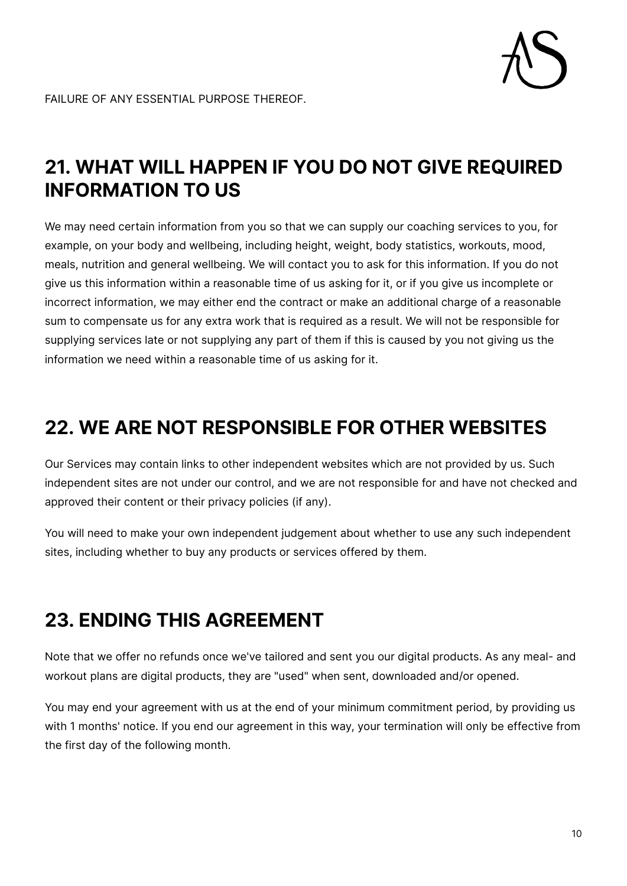

### **21. WHAT WILL HAPPEN IF YOU DO NOT GIVE REQUIRED INFORMATION TO US**

We may need certain information from you so that we can supply our coaching services to you, for example, on your body and wellbeing, including height, weight, body statistics, workouts, mood, meals, nutrition and general wellbeing. We will contact you to ask for this information. If you do not give us this information within a reasonable time of us asking for it, or if you give us incomplete or incorrect information, we may either end the contract or make an additional charge of a reasonable sum to compensate us for any extra work that is required as a result. We will not be responsible for supplying services late or not supplying any part of them if this is caused by you not giving us the information we need within a reasonable time of us asking for it.

### **22. WE ARE NOT RESPONSIBLE FOR OTHER WEBSITES**

Our Services may contain links to other independent websites which are not provided by us. Such independent sites are not under our control, and we are not responsible for and have not checked and approved their content or their privacy policies (if any).

You will need to make your own independent judgement about whether to use any such independent sites, including whether to buy any products or services offered by them.

### **23. ENDING THIS AGREEMENT**

Note that we offer no refunds once we've tailored and sent you our digital products. As any meal- and workout plans are digital products, they are "used" when sent, downloaded and/or opened.

You may end your agreement with us at the end of your minimum commitment period, by providing us with 1 months' notice. If you end our agreement in this way, your termination will only be effective from the first day of the following month.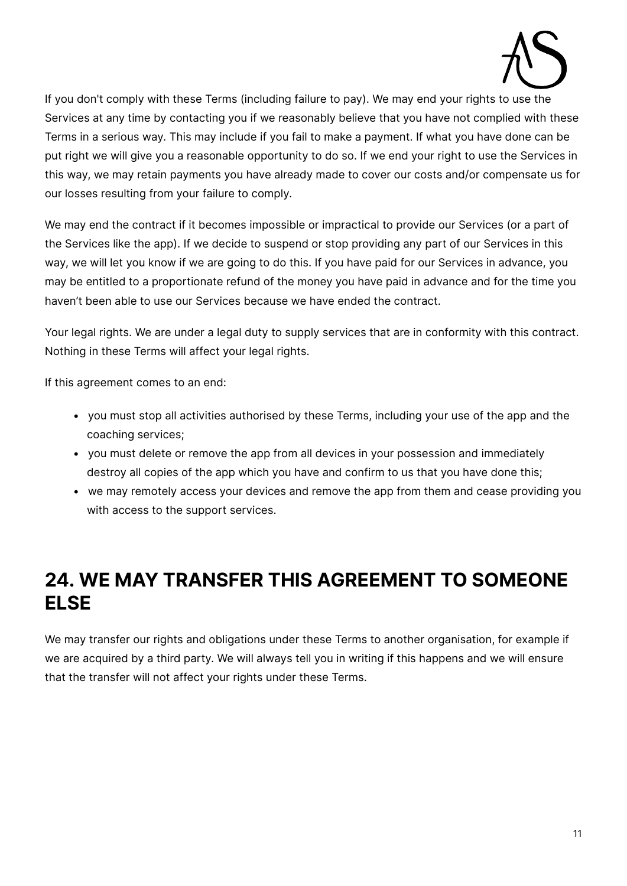

If you don't comply with these Terms (including failure to pay). We may end your rights to use the Services at any time by contacting you if we reasonably believe that you have not complied with these Terms in a serious way. This may include if you fail to make a payment. If what you have done can be put right we will give you a reasonable opportunity to do so. If we end your right to use the Services in this way, we may retain payments you have already made to cover our costs and/or compensate us for our losses resulting from your failure to comply.

We may end the contract if it becomes impossible or impractical to provide our Services (or a part of the Services like the app). If we decide to suspend or stop providing any part of our Services in this way, we will let you know if we are going to do this. If you have paid for our Services in advance, you may be entitled to a proportionate refund of the money you have paid in advance and for the time you haven't been able to use our Services because we have ended the contract.

Your legal rights. We are under a legal duty to supply services that are in conformity with this contract. Nothing in these Terms will affect your legal rights.

If this agreement comes to an end:

- you must stop all activities authorised by these Terms, including your use of the app and the coaching services;
- you must delete or remove the app from all devices in your possession and immediately destroy all copies of the app which you have and confirm to us that you have done this;
- we may remotely access your devices and remove the app from them and cease providing you with access to the support services.

### **24. WE MAY TRANSFER THIS AGREEMENT TO SOMEONE ELSE**

We may transfer our rights and obligations under these Terms to another organisation, for example if we are acquired by a third party. We will always tell you in writing if this happens and we will ensure that the transfer will not affect your rights under these Terms.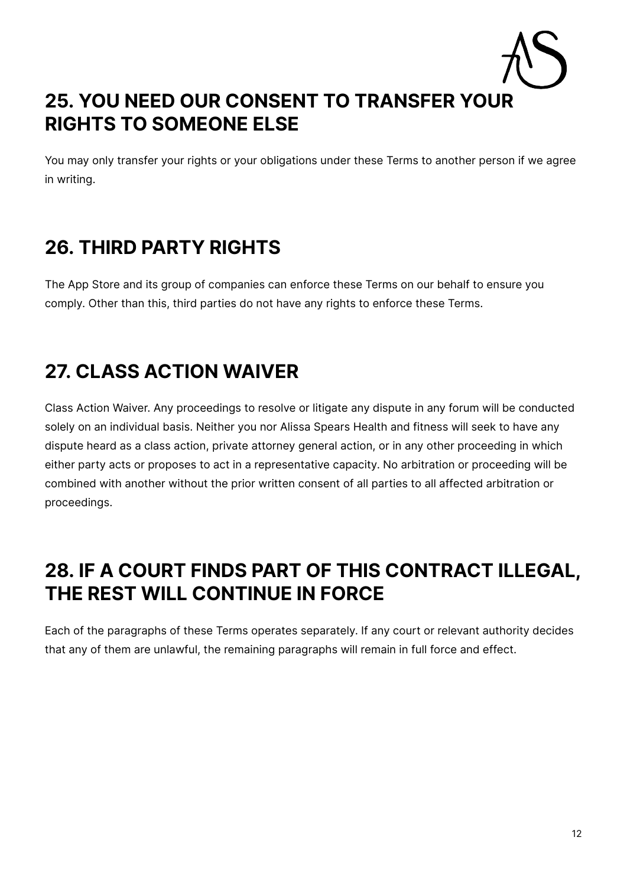### **25. YOU NEED OUR CONSENT TO TRANSFER YOUR RIGHTS TO SOMEONE ELSE**

You may only transfer your rights or your obligations under these Terms to another person if we agree in writing.

### **26. THIRD PARTY RIGHTS**

The App Store and its group of companies can enforce these Terms on our behalf to ensure you comply. Other than this, third parties do not have any rights to enforce these Terms.

## **27. CLASS ACTION WAIVER**

Class Action Waiver. Any proceedings to resolve or litigate any dispute in any forum will be conducted solely on an individual basis. Neither you nor Alissa Spears Health and fitness will seek to have any dispute heard as a class action, private attorney general action, or in any other proceeding in which either party acts or proposes to act in a representative capacity. No arbitration or proceeding will be combined with another without the prior written consent of all parties to all affected arbitration or proceedings.

### **28. IF A COURT FINDS PART OF THIS CONTRACT ILLEGAL, THE REST WILL CONTINUE IN FORCE**

Each of the paragraphs of these Terms operates separately. If any court or relevant authority decides that any of them are unlawful, the remaining paragraphs will remain in full force and effect.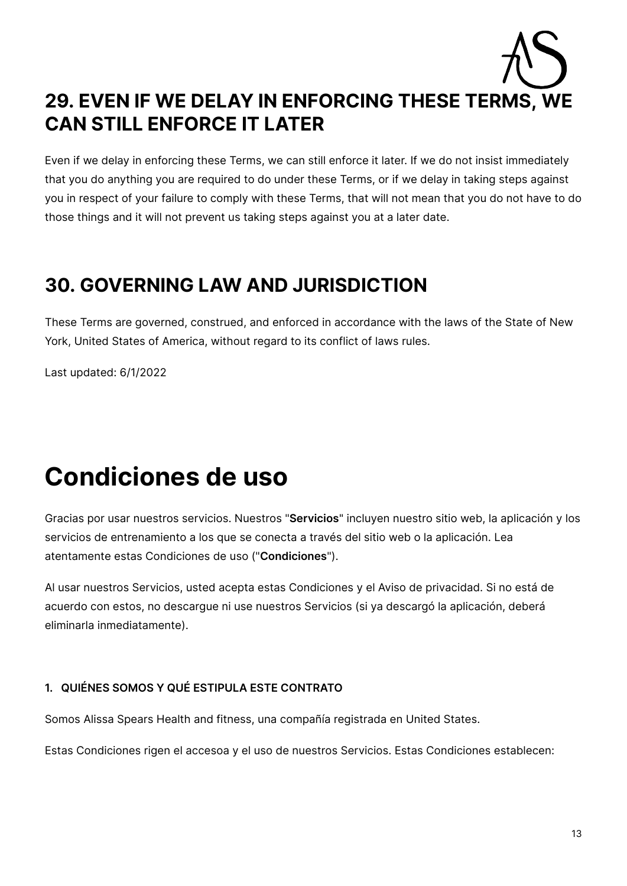# **29. EVEN IF WE DELAY IN ENFORCING THESE TERMS, WE CAN STILL ENFORCE IT LATER**

Even if we delay in enforcing these Terms, we can still enforce it later. If we do not insist immediately that you do anything you are required to do under these Terms, or if we delay in taking steps against you in respect of your failure to comply with these Terms, that will not mean that you do not have to do those things and it will not prevent us taking steps against you at a later date.

### **30. GOVERNING LAW AND JURISDICTION**

These Terms are governed, construed, and enforced in accordance with the laws of the State of New York, United States of America, without regard to its conflict of laws rules.

Last updated: 6/1/2022

# **Condiciones de uso**

Gracias por usar nuestros servicios. Nuestros "**Servicios**" incluyen nuestro sitio web, la aplicación y los servicios de entrenamiento a los que se conecta a través del sitio web o la aplicación. Lea atentamente estas Condiciones de uso ("**Condiciones**").

Al usar nuestros Servicios, usted acepta estas Condiciones y el Aviso de privacidad. Si no está de acuerdo con estos, no descargue ni use nuestros Servicios (si ya descargó la aplicación, deberá eliminarla inmediatamente).

#### **1. QUIÉNES SOMOS Y QUÉ ESTIPULA ESTE CONTRATO**

Somos Alissa Spears Health and fitness, una compañía registrada en United States.

Estas Condiciones rigen el accesoa y el uso de nuestros Servicios. Estas Condiciones establecen: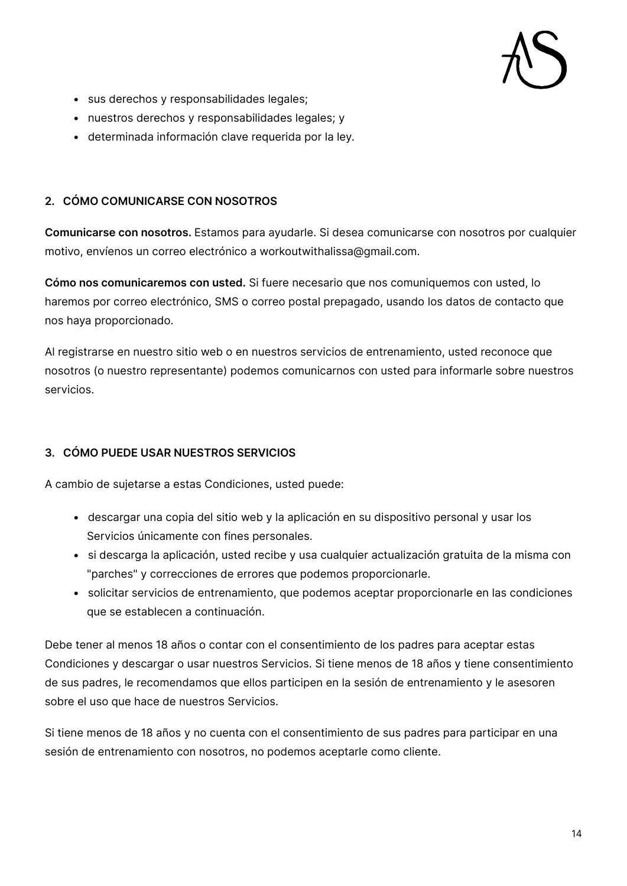- sus derechos y responsabilidades legales;
- nuestros derechos y responsabilidades legales; y
- determinada información clave requerida por la ley.

#### **2. CÓMO COMUNICARSE CON NOSOTROS**

**Comunicarse con nosotros.** Estamos para ayudarle. Si desea comunicarse con nosotros por cualquier motivo, envíenos un correo electrónico a workoutwithalissa@gmail.com.

**Cómo nos comunicaremos con usted.** Si fuere necesario que nos comuniquemos con usted, lo haremos por correo electrónico, SMS o correo postal prepagado, usando los datos de contacto que nos haya proporcionado.

Al registrarse en nuestro sitio web o en nuestros servicios de entrenamiento, usted reconoce que nosotros (o nuestro representante) podemos comunicarnos con usted para informarle sobre nuestros servicios.

#### **3. CÓMO PUEDE USAR NUESTROS SERVICIOS**

A cambio de sujetarse a estas Condiciones, usted puede:

- descargar una copia del sitio web y la aplicación en su dispositivo personal y usar los Servicios únicamente con fines personales.
- si descarga la aplicación, usted recibe y usa cualquier actualización gratuita de la misma con "parches" y correcciones de errores que podemos proporcionarle.
- solicitar servicios de entrenamiento, que podemos aceptar proporcionarle en las condiciones que se establecen a continuación.

Debe tener al menos 18 años o contar con el consentimiento de los padres para aceptar estas Condiciones y descargar o usar nuestros Servicios. Si tiene menos de 18 años y tiene consentimiento de sus padres, le recomendamos que ellos participen en la sesión de entrenamiento y le asesoren sobre el uso que hace de nuestros Servicios.

Si tiene menos de 18 años y no cuenta con el consentimiento de sus padres para participar en una sesión de entrenamiento con nosotros, no podemos aceptarle como cliente.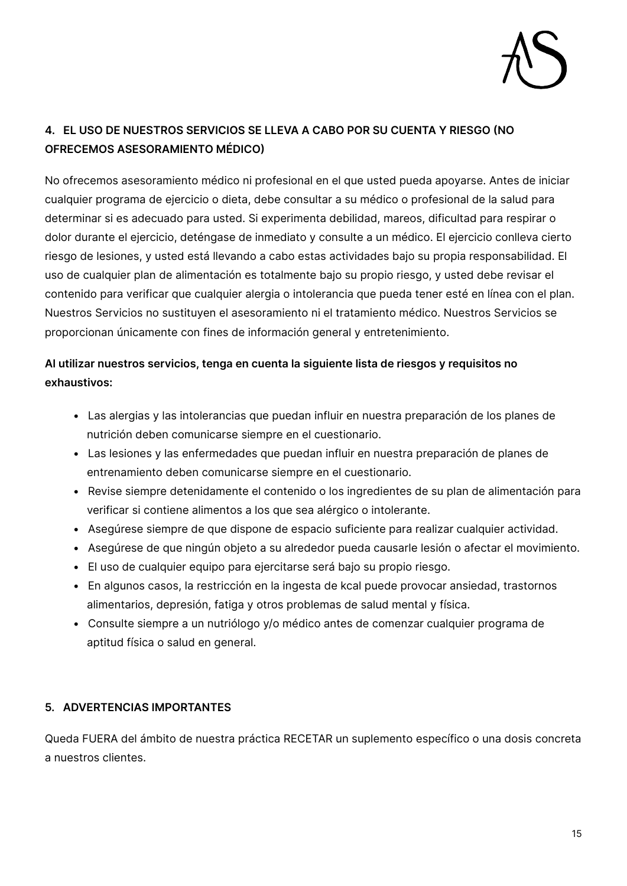

### **4. EL USO DE NUESTROS SERVICIOS SE LLEVA A CABO POR SU CUENTA Y RIESGO (NO OFRECEMOS ASESORAMIENTO MÉDICO)**

No ofrecemos asesoramiento médico ni profesional en el que usted pueda apoyarse. Antes de iniciar cualquier programa de ejercicio o dieta, debe consultar a su médico o profesional de la salud para determinar si es adecuado para usted. Si experimenta debilidad, mareos, dificultad para respirar o dolor durante el ejercicio, deténgase de inmediato y consulte a un médico. El ejercicio conlleva cierto riesgo de lesiones, y usted está llevando a cabo estas actividades bajo su propia responsabilidad. El uso de cualquier plan de alimentación es totalmente bajo su propio riesgo, y usted debe revisar el contenido para verificar que cualquier alergia o intolerancia que pueda tener esté en línea con el plan. Nuestros Servicios no sustituyen el asesoramiento ni el tratamiento médico. Nuestros Servicios se proporcionan únicamente con fines de información general y entretenimiento.

#### **Al utilizar nuestros servicios, tenga en cuenta la siguiente lista de riesgos y requisitos no exhaustivos:**

- Las alergias y las intolerancias que puedan influir en nuestra preparación de los planes de nutrición deben comunicarse siempre en el cuestionario.
- Las lesiones y las enfermedades que puedan influir en nuestra preparación de planes de entrenamiento deben comunicarse siempre en el cuestionario.
- Revise siempre detenidamente el contenido o los ingredientes de su plan de alimentación para verificar si contiene alimentos a los que sea alérgico o intolerante.
- Asegúrese siempre de que dispone de espacio suficiente para realizar cualquier actividad.
- Asegúrese de que ningún objeto a su alrededor pueda causarle lesión o afectar el movimiento.
- El uso de cualquier equipo para ejercitarse será bajo su propio riesgo.
- En algunos casos, la restricción en la ingesta de kcal puede provocar ansiedad, trastornos alimentarios, depresión, fatiga y otros problemas de salud mental y física.
- Consulte siempre a un nutriólogo y/o médico antes de comenzar cualquier programa de aptitud física o salud en general.

#### **5. ADVERTENCIAS IMPORTANTES**

Queda FUERA del ámbito de nuestra práctica RECETAR un suplemento específico o una dosis concreta a nuestros clientes.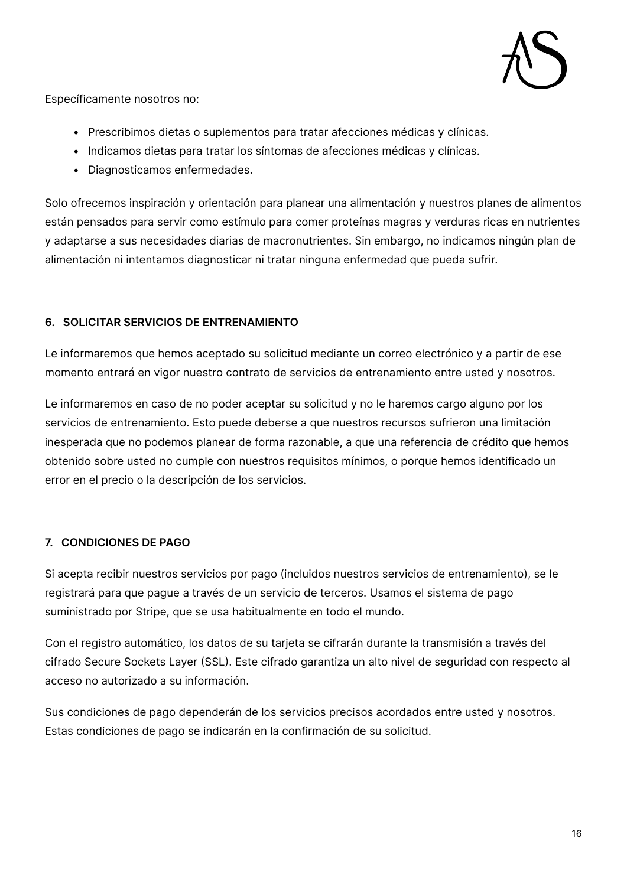

Específicamente nosotros no:

- Prescribimos dietas o suplementos para tratar afecciones médicas y clínicas.
- Indicamos dietas para tratar los síntomas de afecciones médicas y clínicas.
- Diagnosticamos enfermedades.

Solo ofrecemos inspiración y orientación para planear una alimentación y nuestros planes de alimentos están pensados para servir como estímulo para comer proteínas magras y verduras ricas en nutrientes y adaptarse a sus necesidades diarias de macronutrientes. Sin embargo, no indicamos ningún plan de alimentación ni intentamos diagnosticar ni tratar ninguna enfermedad que pueda sufrir.

#### **6. SOLICITAR SERVICIOS DE ENTRENAMIENTO**

Le informaremos que hemos aceptado su solicitud mediante un correo electrónico y a partir de ese momento entrará en vigor nuestro contrato de servicios de entrenamiento entre usted y nosotros.

Le informaremos en caso de no poder aceptar su solicitud y no le haremos cargo alguno por los servicios de entrenamiento. Esto puede deberse a que nuestros recursos sufrieron una limitación inesperada que no podemos planear de forma razonable, a que una referencia de crédito que hemos obtenido sobre usted no cumple con nuestros requisitos mínimos, o porque hemos identificado un error en el precio o la descripción de los servicios.

#### **7. CONDICIONES DE PAGO**

Si acepta recibir nuestros servicios por pago (incluidos nuestros servicios de entrenamiento), se le registrará para que pague a través de un servicio de terceros. Usamos el sistema de pago suministrado por Stripe, que se usa habitualmente en todo el mundo.

Con el registro automático, los datos de su tarjeta se cifrarán durante la transmisión a través del cifrado Secure Sockets Layer (SSL). Este cifrado garantiza un alto nivel de seguridad con respecto al acceso no autorizado a su información.

Sus condiciones de pago dependerán de los servicios precisos acordados entre usted y nosotros. Estas condiciones de pago se indicarán en la confirmación de su solicitud.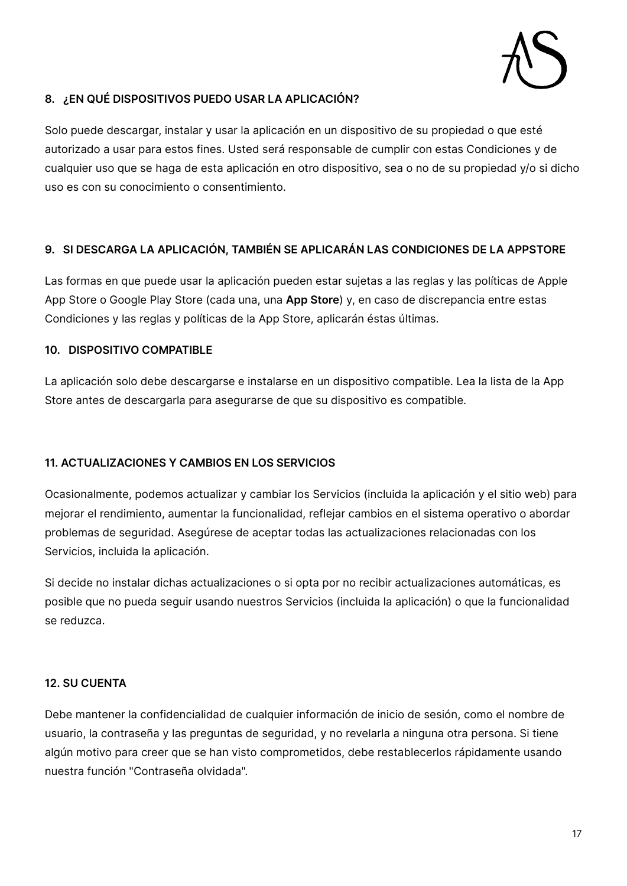

#### **8. ¿EN QUÉ DISPOSITIVOS PUEDO USAR LA APLICACIÓN?**

Solo puede descargar, instalar y usar la aplicación en un dispositivo de su propiedad o que esté autorizado a usar para estos fines. Usted será responsable de cumplir con estas Condiciones y de cualquier uso que se haga de esta aplicación en otro dispositivo, sea o no de su propiedad y/o si dicho uso es con su conocimiento o consentimiento.

#### **9. SI DESCARGA LA APLICACIÓN, TAMBIÉN SE APLICARÁN LAS CONDICIONES DE LA APPSTORE**

Las formas en que puede usar la aplicación pueden estar sujetas a las reglas y las políticas de Apple App Store o Google Play Store (cada una, una **App Store**) y, en caso de discrepancia entre estas Condiciones y las reglas y políticas de la App Store, aplicarán éstas últimas.

#### **10. DISPOSITIVO COMPATIBLE**

La aplicación solo debe descargarse e instalarse en un dispositivo compatible. Lea la lista de la App Store antes de descargarla para asegurarse de que su dispositivo es compatible.

#### **11. ACTUALIZACIONES Y CAMBIOS EN LOS SERVICIOS**

Ocasionalmente, podemos actualizar y cambiar los Servicios (incluida la aplicación y el sitio web) para mejorar el rendimiento, aumentar la funcionalidad, reflejar cambios en el sistema operativo o abordar problemas de seguridad. Asegúrese de aceptar todas las actualizaciones relacionadas con los Servicios, incluida la aplicación.

Si decide no instalar dichas actualizaciones o si opta por no recibir actualizaciones automáticas, es posible que no pueda seguir usando nuestros Servicios (incluida la aplicación) o que la funcionalidad se reduzca.

#### **12. SU CUENTA**

Debe mantener la confidencialidad de cualquier información de inicio de sesión, como el nombre de usuario, la contraseña y las preguntas de seguridad, y no revelarla a ninguna otra persona. Si tiene algún motivo para creer que se han visto comprometidos, debe restablecerlos rápidamente usando nuestra función "Contraseña olvidada".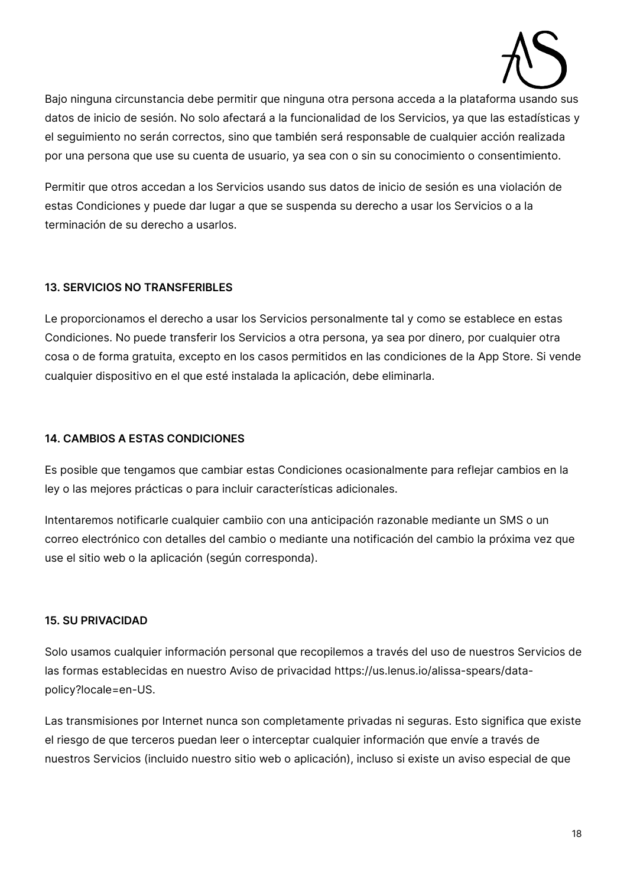

Bajo ninguna circunstancia debe permitir que ninguna otra persona acceda a la plataforma usando sus datos de inicio de sesión. No solo afectará a la funcionalidad de los Servicios, ya que las estadísticas y el seguimiento no serán correctos, sino que también será responsable de cualquier acción realizada por una persona que use su cuenta de usuario, ya sea con o sin su conocimiento o consentimiento.

Permitir que otros accedan a los Servicios usando sus datos de inicio de sesión es una violación de estas Condiciones y puede dar lugar a que se suspenda su derecho a usar los Servicios o a la terminación de su derecho a usarlos.

#### **13. SERVICIOS NO TRANSFERIBLES**

Le proporcionamos el derecho a usar los Servicios personalmente tal y como se establece en estas Condiciones. No puede transferir los Servicios a otra persona, ya sea por dinero, por cualquier otra cosa o de forma gratuita, excepto en los casos permitidos en las condiciones de la App Store. Si vende cualquier dispositivo en el que esté instalada la aplicación, debe eliminarla.

#### **14. CAMBIOS A ESTAS CONDICIONES**

Es posible que tengamos que cambiar estas Condiciones ocasionalmente para reflejar cambios en la ley o las mejores prácticas o para incluir características adicionales.

Intentaremos notificarle cualquier cambiio con una anticipación razonable mediante un SMS o un correo electrónico con detalles del cambio o mediante una notificación del cambio la próxima vez que use el sitio web o la aplicación (según corresponda).

#### **15. SU PRIVACIDAD**

Solo usamos cualquier información personal que recopilemos a través del uso de nuestros Servicios de las formas establecidas en nuestro Aviso de privacidad https://us.lenus.io/alissa-spears/datapolicy?locale=en-US.

Las transmisiones por Internet nunca son completamente privadas ni seguras. Esto significa que existe el riesgo de que terceros puedan leer o interceptar cualquier información que envíe a través de nuestros Servicios (incluido nuestro sitio web o aplicación), incluso si existe un aviso especial de que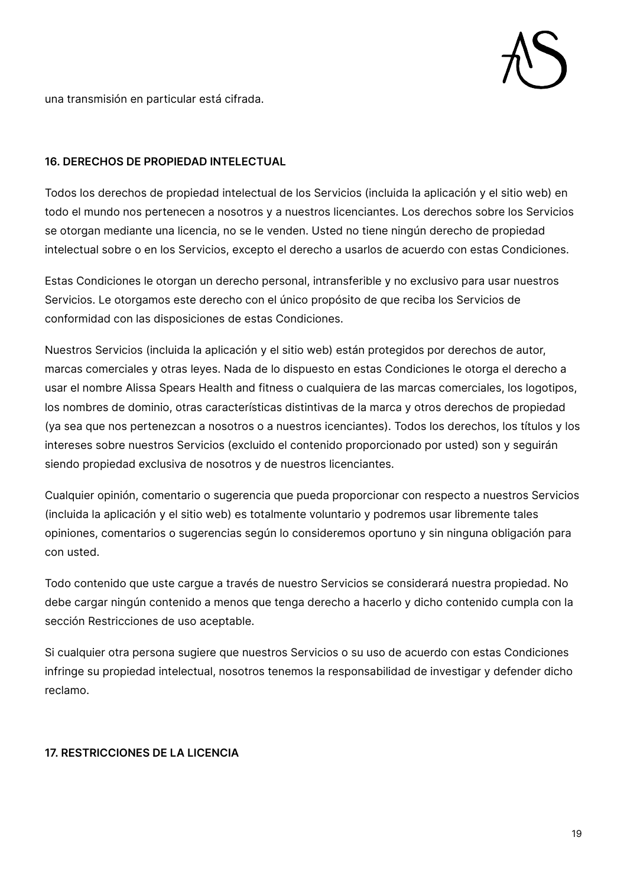

una transmisión en particular está cifrada.

#### **16. DERECHOS DE PROPIEDAD INTELECTUAL**

Todos los derechos de propiedad intelectual de los Servicios (incluida la aplicación y el sitio web) en todo el mundo nos pertenecen a nosotros y a nuestros licenciantes. Los derechos sobre los Servicios se otorgan mediante una licencia, no se le venden. Usted no tiene ningún derecho de propiedad intelectual sobre o en los Servicios, excepto el derecho a usarlos de acuerdo con estas Condiciones.

Estas Condiciones le otorgan un derecho personal, intransferible y no exclusivo para usar nuestros Servicios. Le otorgamos este derecho con el único propósito de que reciba los Servicios de conformidad con las disposiciones de estas Condiciones.

Nuestros Servicios (incluida la aplicación y el sitio web) están protegidos por derechos de autor, marcas comerciales y otras leyes. Nada de lo dispuesto en estas Condiciones le otorga el derecho a usar el nombre Alissa Spears Health and fitness o cualquiera de las marcas comerciales, los logotipos, los nombres de dominio, otras características distintivas de la marca y otros derechos de propiedad (ya sea que nos pertenezcan a nosotros o a nuestros icenciantes). Todos los derechos, los títulos y los intereses sobre nuestros Servicios (excluido el contenido proporcionado por usted) son y seguirán siendo propiedad exclusiva de nosotros y de nuestros licenciantes.

Cualquier opinión, comentario o sugerencia que pueda proporcionar con respecto a nuestros Servicios (incluida la aplicación y el sitio web) es totalmente voluntario y podremos usar libremente tales opiniones, comentarios o sugerencias según lo consideremos oportuno y sin ninguna obligación para con usted.

Todo contenido que uste cargue a través de nuestro Servicios se considerará nuestra propiedad. No debe cargar ningún contenido a menos que tenga derecho a hacerlo y dicho contenido cumpla con la sección Restricciones de uso aceptable.

Si cualquier otra persona sugiere que nuestros Servicios o su uso de acuerdo con estas Condiciones infringe su propiedad intelectual, nosotros tenemos la responsabilidad de investigar y defender dicho reclamo.

#### **17. RESTRICCIONES DE LA LICENCIA**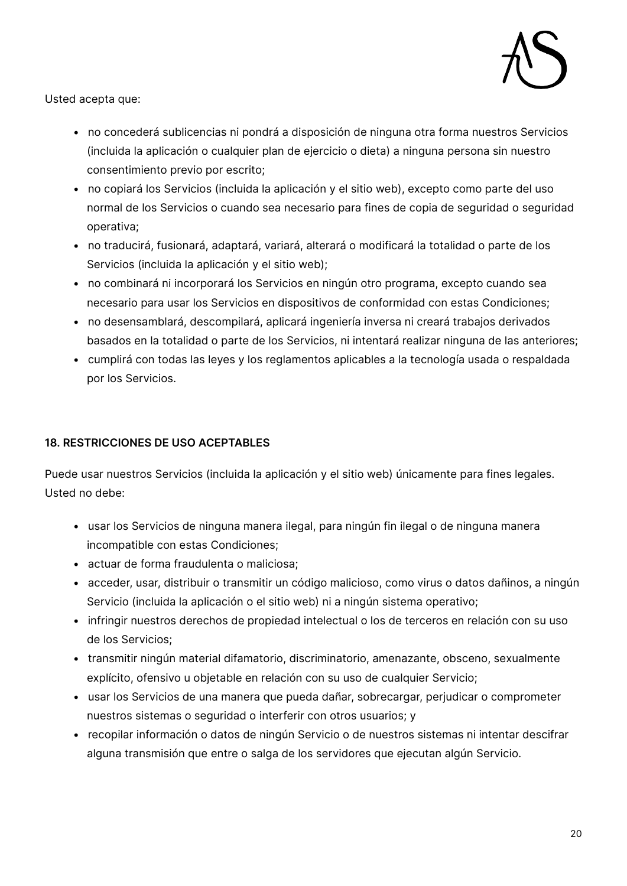

Usted acepta que:

- no concederá sublicencias ni pondrá a disposición de ninguna otra forma nuestros Servicios (incluida la aplicación o cualquier plan de ejercicio o dieta) a ninguna persona sin nuestro consentimiento previo por escrito;
- no copiará los Servicios (incluida la aplicación y el sitio web), excepto como parte del uso normal de los Servicios o cuando sea necesario para fines de copia de seguridad o seguridad operativa;
- no traducirá, fusionará, adaptará, variará, alterará o modificará la totalidad o parte de los Servicios (incluida la aplicación y el sitio web);
- no combinará ni incorporará los Servicios en ningún otro programa, excepto cuando sea necesario para usar los Servicios en dispositivos de conformidad con estas Condiciones;
- no desensamblará, descompilará, aplicará ingeniería inversa ni creará trabajos derivados basados en la totalidad o parte de los Servicios, ni intentará realizar ninguna de las anteriores;
- cumplirá con todas las leyes y los reglamentos aplicables a la tecnología usada o respaldada por los Servicios.

#### **18. RESTRICCIONES DE USO ACEPTABLES**

Puede usar nuestros Servicios (incluida la aplicación y el sitio web) únicamente para fines legales. Usted no debe:

- usar los Servicios de ninguna manera ilegal, para ningún fin ilegal o de ninguna manera incompatible con estas Condiciones;
- actuar de forma fraudulenta o maliciosa;
- acceder, usar, distribuir o transmitir un código malicioso, como virus o datos dañinos, a ningún Servicio (incluida la aplicación o el sitio web) ni a ningún sistema operativo;
- infringir nuestros derechos de propiedad intelectual o los de terceros en relación con su uso de los Servicios;
- transmitir ningún material difamatorio, discriminatorio, amenazante, obsceno, sexualmente explícito, ofensivo u objetable en relación con su uso de cualquier Servicio;
- usar los Servicios de una manera que pueda dañar, sobrecargar, perjudicar o comprometer nuestros sistemas o seguridad o interferir con otros usuarios; y
- recopilar información o datos de ningún Servicio o de nuestros sistemas ni intentar descifrar alguna transmisión que entre o salga de los servidores que ejecutan algún Servicio.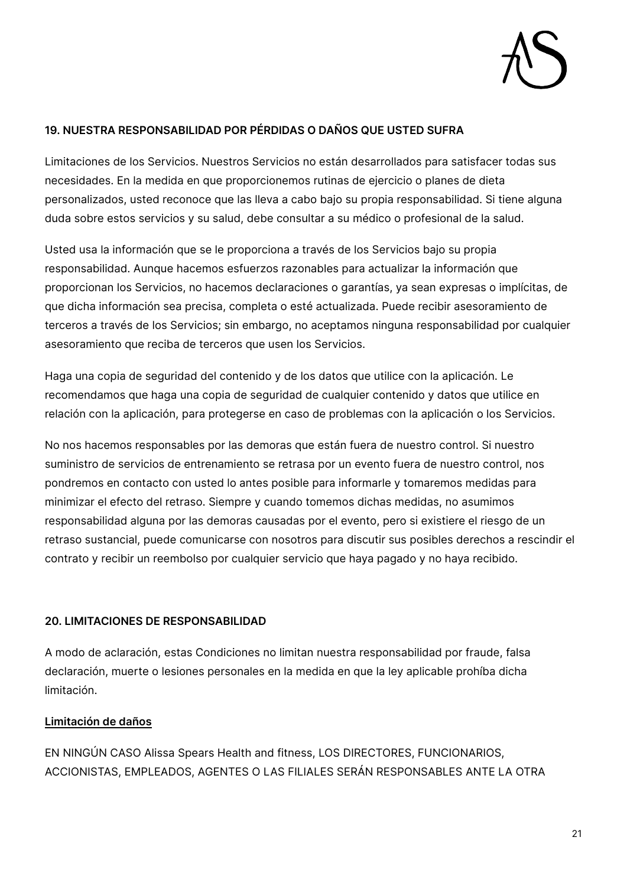

#### **19. NUESTRA RESPONSABILIDAD POR PÉRDIDAS O DAÑOS QUE USTED SUFRA**

Limitaciones de los Servicios. Nuestros Servicios no están desarrollados para satisfacer todas sus necesidades. En la medida en que proporcionemos rutinas de ejercicio o planes de dieta personalizados, usted reconoce que las lleva a cabo bajo su propia responsabilidad. Si tiene alguna duda sobre estos servicios y su salud, debe consultar a su médico o profesional de la salud.

Usted usa la información que se le proporciona a través de los Servicios bajo su propia responsabilidad. Aunque hacemos esfuerzos razonables para actualizar la información que proporcionan los Servicios, no hacemos declaraciones o garantías, ya sean expresas o implícitas, de que dicha información sea precisa, completa o esté actualizada. Puede recibir asesoramiento de terceros a través de los Servicios; sin embargo, no aceptamos ninguna responsabilidad por cualquier asesoramiento que reciba de terceros que usen los Servicios.

Haga una copia de seguridad del contenido y de los datos que utilice con la aplicación. Le recomendamos que haga una copia de seguridad de cualquier contenido y datos que utilice en relación con la aplicación, para protegerse en caso de problemas con la aplicación o los Servicios.

No nos hacemos responsables por las demoras que están fuera de nuestro control. Si nuestro suministro de servicios de entrenamiento se retrasa por un evento fuera de nuestro control, nos pondremos en contacto con usted lo antes posible para informarle y tomaremos medidas para minimizar el efecto del retraso. Siempre y cuando tomemos dichas medidas, no asumimos responsabilidad alguna por las demoras causadas por el evento, pero si existiere el riesgo de un retraso sustancial, puede comunicarse con nosotros para discutir sus posibles derechos a rescindir el contrato y recibir un reembolso por cualquier servicio que haya pagado y no haya recibido.

#### **20. LIMITACIONES DE RESPONSABILIDAD**

A modo de aclaración, estas Condiciones no limitan nuestra responsabilidad por fraude, falsa declaración, muerte o lesiones personales en la medida en que la ley aplicable prohíba dicha limitación.

#### **Limitación de daños**

EN NINGÚN CASO Alissa Spears Health and fitness, LOS DIRECTORES, FUNCIONARIOS, ACCIONISTAS, EMPLEADOS, AGENTES O LAS FILIALES SERÁN RESPONSABLES ANTE LA OTRA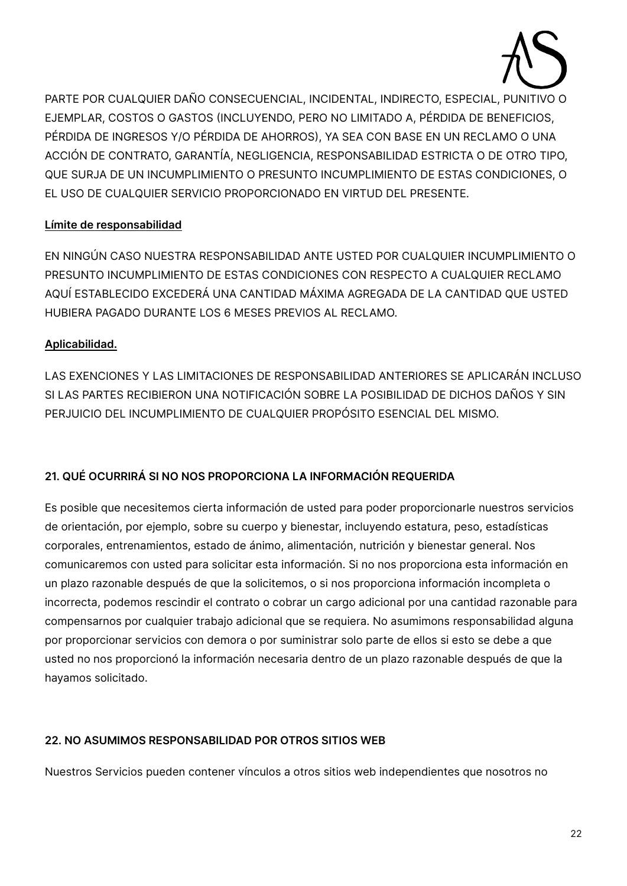

PARTE POR CUALQUIER DAÑO CONSECUENCIAL, INCIDENTAL, INDIRECTO, ESPECIAL, PUNITIVO O EJEMPLAR, COSTOS O GASTOS (INCLUYENDO, PERO NO LIMITADO A, PÉRDIDA DE BENEFICIOS, PÉRDIDA DE INGRESOS Y/O PÉRDIDA DE AHORROS), YA SEA CON BASE EN UN RECLAMO O UNA ACCIÓN DE CONTRATO, GARANTÍA, NEGLIGENCIA, RESPONSABILIDAD ESTRICTA O DE OTRO TIPO, QUE SURJA DE UN INCUMPLIMIENTO O PRESUNTO INCUMPLIMIENTO DE ESTAS CONDICIONES, O EL USO DE CUALQUIER SERVICIO PROPORCIONADO EN VIRTUD DEL PRESENTE.

#### **Límite de responsabilidad**

EN NINGÚN CASO NUESTRA RESPONSABILIDAD ANTE USTED POR CUALQUIER INCUMPLIMIENTO O PRESUNTO INCUMPLIMIENTO DE ESTAS CONDICIONES CON RESPECTO A CUALQUIER RECLAMO AQUÍ ESTABLECIDO EXCEDERÁ UNA CANTIDAD MÁXIMA AGREGADA DE LA CANTIDAD QUE USTED HUBIERA PAGADO DURANTE LOS 6 MESES PREVIOS AL RECLAMO.

#### **Aplicabilidad.**

LAS EXENCIONES Y LAS LIMITACIONES DE RESPONSABILIDAD ANTERIORES SE APLICARÁN INCLUSO SI LAS PARTES RECIBIERON UNA NOTIFICACIÓN SOBRE LA POSIBILIDAD DE DICHOS DAÑOS Y SIN PERJUICIO DEL INCUMPLIMIENTO DE CUALQUIER PROPÓSITO ESENCIAL DEL MISMO.

#### **21. QUÉ OCURRIRÁ SI NO NOS PROPORCIONA LA INFORMACIÓN REQUERIDA**

Es posible que necesitemos cierta información de usted para poder proporcionarle nuestros servicios de orientación, por ejemplo, sobre su cuerpo y bienestar, incluyendo estatura, peso, estadísticas corporales, entrenamientos, estado de ánimo, alimentación, nutrición y bienestar general. Nos comunicaremos con usted para solicitar esta información. Si no nos proporciona esta información en un plazo razonable después de que la solicitemos, o si nos proporciona información incompleta o incorrecta, podemos rescindir el contrato o cobrar un cargo adicional por una cantidad razonable para compensarnos por cualquier trabajo adicional que se requiera. No asumimons responsabilidad alguna por proporcionar servicios con demora o por suministrar solo parte de ellos si esto se debe a que usted no nos proporcionó la información necesaria dentro de un plazo razonable después de que la hayamos solicitado.

#### **22. NO ASUMIMOS RESPONSABILIDAD POR OTROS SITIOS WEB**

Nuestros Servicios pueden contener vínculos a otros sitios web independientes que nosotros no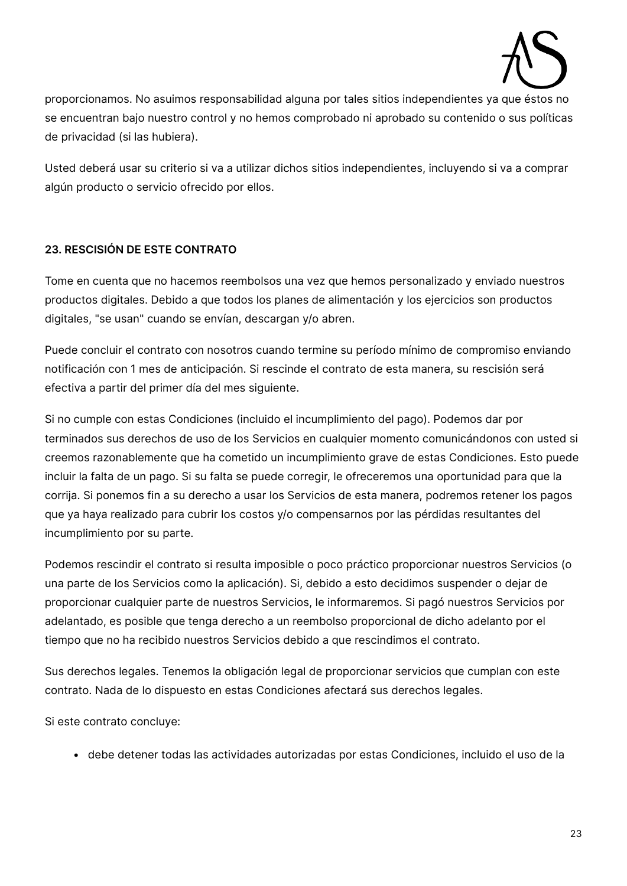

proporcionamos. No asuimos responsabilidad alguna por tales sitios independientes ya que éstos no se encuentran bajo nuestro control y no hemos comprobado ni aprobado su contenido o sus políticas de privacidad (si las hubiera).

Usted deberá usar su criterio si va a utilizar dichos sitios independientes, incluyendo si va a comprar algún producto o servicio ofrecido por ellos.

#### **23. RESCISIÓN DE ESTE CONTRATO**

Tome en cuenta que no hacemos reembolsos una vez que hemos personalizado y enviado nuestros productos digitales. Debido a que todos los planes de alimentación y los ejercicios son productos digitales, "se usan" cuando se envían, descargan y/o abren.

Puede concluir el contrato con nosotros cuando termine su período mínimo de compromiso enviando notificación con 1 mes de anticipación. Si rescinde el contrato de esta manera, su rescisión será efectiva a partir del primer día del mes siguiente.

Si no cumple con estas Condiciones (incluido el incumplimiento del pago). Podemos dar por terminados sus derechos de uso de los Servicios en cualquier momento comunicándonos con usted si creemos razonablemente que ha cometido un incumplimiento grave de estas Condiciones. Esto puede incluir la falta de un pago. Si su falta se puede corregir, le ofreceremos una oportunidad para que la corrija. Si ponemos fin a su derecho a usar los Servicios de esta manera, podremos retener los pagos que ya haya realizado para cubrir los costos y/o compensarnos por las pérdidas resultantes del incumplimiento por su parte.

Podemos rescindir el contrato si resulta imposible o poco práctico proporcionar nuestros Servicios (o una parte de los Servicios como la aplicación). Si, debido a esto decidimos suspender o dejar de proporcionar cualquier parte de nuestros Servicios, le informaremos. Si pagó nuestros Servicios por adelantado, es posible que tenga derecho a un reembolso proporcional de dicho adelanto por el tiempo que no ha recibido nuestros Servicios debido a que rescindimos el contrato.

Sus derechos legales. Tenemos la obligación legal de proporcionar servicios que cumplan con este contrato. Nada de lo dispuesto en estas Condiciones afectará sus derechos legales.

Si este contrato concluye:

• debe detener todas las actividades autorizadas por estas Condiciones, incluido el uso de la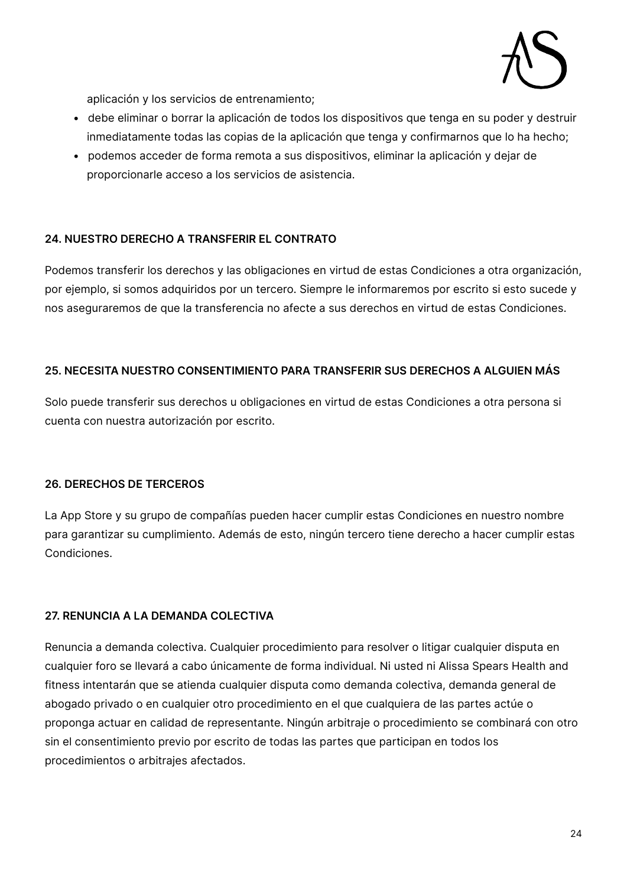

aplicación y los servicios de entrenamiento;

- debe eliminar o borrar la aplicación de todos los dispositivos que tenga en su poder y destruir inmediatamente todas las copias de la aplicación que tenga y confirmarnos que lo ha hecho;
- podemos acceder de forma remota a sus dispositivos, eliminar la aplicación y dejar de proporcionarle acceso a los servicios de asistencia.

#### **24. NUESTRO DERECHO A TRANSFERIR EL CONTRATO**

Podemos transferir los derechos y las obligaciones en virtud de estas Condiciones a otra organización, por ejemplo, si somos adquiridos por un tercero. Siempre le informaremos por escrito si esto sucede y nos aseguraremos de que la transferencia no afecte a sus derechos en virtud de estas Condiciones.

#### **25. NECESITA NUESTRO CONSENTIMIENTO PARA TRANSFERIR SUS DERECHOS A ALGUIEN MÁS**

Solo puede transferir sus derechos u obligaciones en virtud de estas Condiciones a otra persona si cuenta con nuestra autorización por escrito.

#### **26. DERECHOS DE TERCEROS**

La App Store y su grupo de compañías pueden hacer cumplir estas Condiciones en nuestro nombre para garantizar su cumplimiento. Además de esto, ningún tercero tiene derecho a hacer cumplir estas Condiciones.

#### **27. RENUNCIA A LA DEMANDA COLECTIVA**

Renuncia a demanda colectiva. Cualquier procedimiento para resolver o litigar cualquier disputa en cualquier foro se llevará a cabo únicamente de forma individual. Ni usted ni Alissa Spears Health and fitness intentarán que se atienda cualquier disputa como demanda colectiva, demanda general de abogado privado o en cualquier otro procedimiento en el que cualquiera de las partes actúe o proponga actuar en calidad de representante. Ningún arbitraje o procedimiento se combinará con otro sin el consentimiento previo por escrito de todas las partes que participan en todos los procedimientos o arbitrajes afectados.